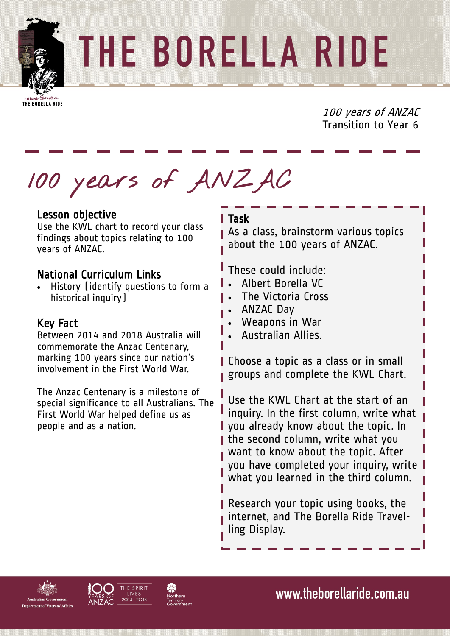

THE BORELLA RIDE

THE BORELLA RIDE

100 years of ANZAC Transition to Year 6

**100 years of ANZAC**

# Lesson objective

Use the KWL chart to record your class findings about topics relating to 100 years of ANZAC.

# National Curriculum Links

 History (identify questions to form a historical inquiry)

# Key Fact

Between 2014 and 2018 Australia will commemorate the Anzac Centenary, marking 100 years since our nation's involvement in the First World War.

The Anzac Centenary is a milestone of special significance to all Australians. The First World War helped define us as people and as a nation.

#### l Task

As a class, brainstorm various topics about the 100 years of ANZAC.

These could include:

- Albert Borella VC
- The Victoria Cross
- ANZAC Day
- Weapons in War
- Australian Allies.

Choose a topic as a class or in small groups and complete the KWL Chart.

Use the KWL Chart at the start of an inquiry. In the first column, write what **I** you already know about the topic. In the second column, write what you want to know about the topic. After you have completed your inquiry, write what you learned in the third column.

Research your topic using books, the internet, and The Borella Ride Travelling Display.





www.theborellaride.com.au